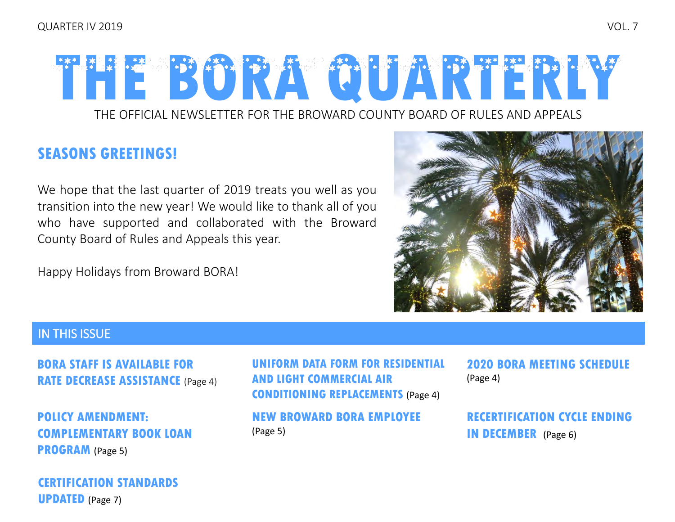# THE OFFICIAL NEWSLETTER FOR THE BROWARD COUNTY BOARD OF RULES AND APPEALS **THE BORA QUARTERLY**

#### **SEASONS GREETINGS!**

We hope that the last quarter of 2019 treats you well as you transition into the new year! We would like to thank all of you who have supported and collaborated with the Broward County Board of Rules and Appeals this year.

Happy Holidays from Broward BORA!



#### IN THIS ISSUE

**[BORA STAFF IS AVAILABLE FOR](#page-3-0)  RATE DECREASE ASSISTANCE** (Page 4)

**POLICY AMENDMENT: [COMPLEMENTARY BOOK LOAN](#page-4-0)  PROGRAM** (Page 5)

**[CERTIFICATION STANDARDS](#page-6-0)  UPDATED** (Page 7)

**[UNIFORM DATA FORM FOR RESIDENTIAL](#page-3-0)  AND LIGHT COMMERCIAL AIR CONDITIONING REPLACEMENTS** (Page 4)

**[NEW BROWARD BORA EMPLOYEE](#page-4-0)**  (Page 5)

**[2020 BORA MEETING SCHEDULE](#page-3-0)** (Page 4)

**[RECERTIFICATION CYCLE ENDING](#page-5-0)  IN DECEMBER** (Page 6)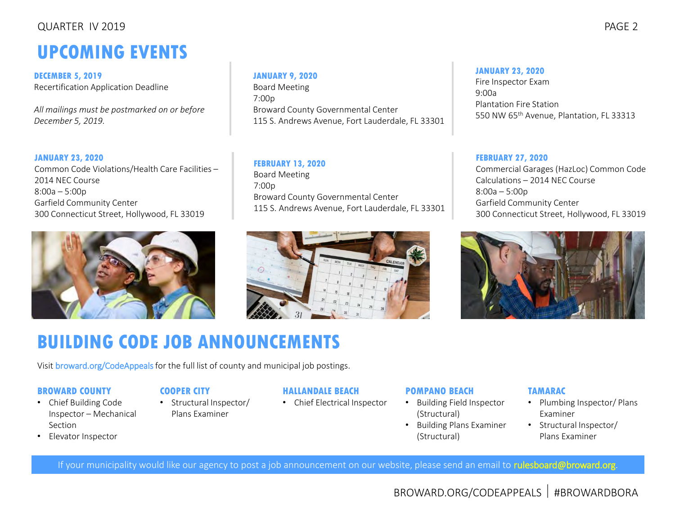#### QUARTER IV 2019 PAGE 2

# **UPCOMING EVENTS**

**DECEMBER 5, 2019** Recertification Application Deadline

*All mailings must be postmarked on or before December 5, 2019.*

**JANUARY 23, 2020** Common Code Violations/Health Care Facilities – 2014 NEC Course 8:00a – 5:00p Garfield Community Center 300 Connecticut Street, Hollywood, FL 33019



#### **JANUARY 9, 2020**

Board Meeting 7:00p Broward County Governmental Center 115 S. Andrews Avenue, Fort Lauderdale, FL 33301

**FEBRUARY 13, 2020** Board Meeting 7:00p Broward County Governmental Center 115 S. Andrews Avenue, Fort Lauderdale, FL 33301



# 300 Connecticut Street, Hollywood, FL 33019

Calculations – 2014 NEC Course

Garfield Community Center

Commercial Garages (HazLoc) Common Code

550 NW 65th Avenue, Plantation, FL 33313

**FEBRUARY 27, 2020**

**JANUARY 23, 2020** Fire Inspector Exam

Plantation Fire Station

9:00a

8:00a – 5:00p

# **BUILDING CODE JOB ANNOUNCEMENTS**

Visit [broward.org/CodeAppeals](http://www.broward.org/CodeAppeals/Pages/JobAnnouncements.aspx) for the full list of county and municipal job postings.

#### **BROWARD COUNTY**

- Chief Building Code Inspector – Mechanical Section
- Elevator Inspector

#### **COOPER CITY**

• Structural Inspector/ Plans Examiner

#### **HALLANDALE BEACH**

• Chief Electrical Inspector

#### **POMPANO BEACH**

- Building Field Inspector (Structural)
- Building Plans Examiner (Structural)

#### **TAMARAC**

- Plumbing Inspector/ Plans Examiner
- Structural Inspector/ Plans Examiner

If your municipality would like our agency to post a job announcement on our website, please send an email to [rulesboard@broward.org.](mailto:rulesboard@broward.org)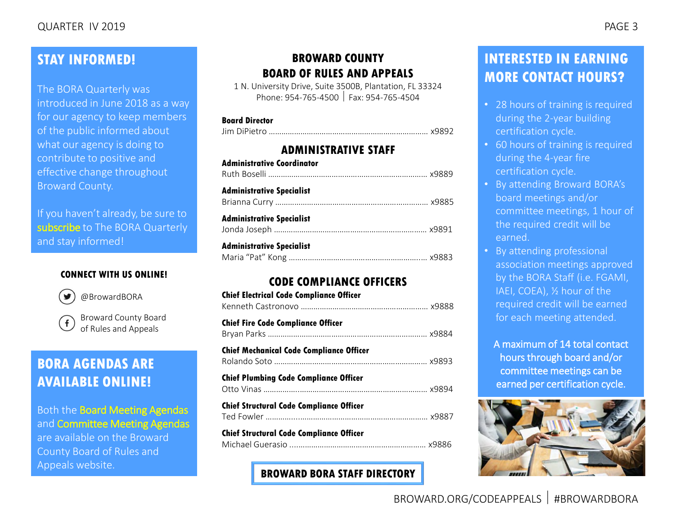#### **STAY INFORMED!**

The BORA Quarterly was introduced in June 2018 as a way for our agency to keep members of the public informed about what our agency is doing to contribute to positive and effective change throughout Broward County.

If you haven't already, be sure to [subscribe](mailto:rulesboard@broward.org) to The BORA Quarterly and stay informed!

#### **CONNECT WITH US ONLINE!**



[@BrowardBORA](https://twitter.com/BrowardBORA)



[Broward County Board](https://www.facebook.com/BrowardBORA/)  of Rules and Appeals

## **BORA AGENDAS ARE AVAILABLE ONLINE!**

Both the [Board Meeting Agendas](http://www.broward.org/CodeAppeals/Pages/BoardMeetingAgendas.aspx) and [Committee Meeting Agendas](http://www.broward.org/CodeAppeals/Pages/CommitteeMeetingAgendas.aspx)

are available on the Broward County Board of Rules and Appeals website.

#### **BROWARD COUNTY BOARD OF RULES AND APPEALS**

1 N. University Drive, Suite 3500B, Plantation, FL 33324 Phone: 954-765-4500 Fax: 954-765-4504

#### **Board Director**

|--|--|

#### **ADMINISTRATIVE STAFF**

| <b>Administrative Coordinator</b> |  |
|-----------------------------------|--|
| <b>Administrative Specialist</b>  |  |
| <b>Administrative Specialist</b>  |  |
| <b>Administrative Specialist</b>  |  |

#### **CODE COMPLIANCE OFFICERS**

| <b>Chief Electrical Code Compliance Officer</b> |  |
|-------------------------------------------------|--|
| <b>Chief Fire Code Compliance Officer</b>       |  |
| <b>Chief Mechanical Code Compliance Officer</b> |  |
| <b>Chief Plumbing Code Compliance Officer</b>   |  |
| <b>Chief Structural Code Compliance Officer</b> |  |
| <b>Chief Structural Code Compliance Officer</b> |  |

**[BROWARD BORA STAFF DIRECTORY](http://www.broward.org/CodeAppeals/Pages/staffContacts.aspx)**

#### **INTERESTED IN EARNING MORE CONTACT HOURS?**

- 28 hours of training is required during the 2-year building certification cycle.
- 60 hours of training is required during the 4-year fire certification cycle.
- By attending Broward BORA's board meetings and/or committee meetings, 1 hour of the required credit will be earned.
- By attending professional association meetings approved by the BORA Staff (i.e. FGAMI, IAEI, COEA), ½ hour of the required credit will be earned for each meeting attended.

A maximum of 14 total contact hours through board and/or committee meetings can be earned per certification cycle.

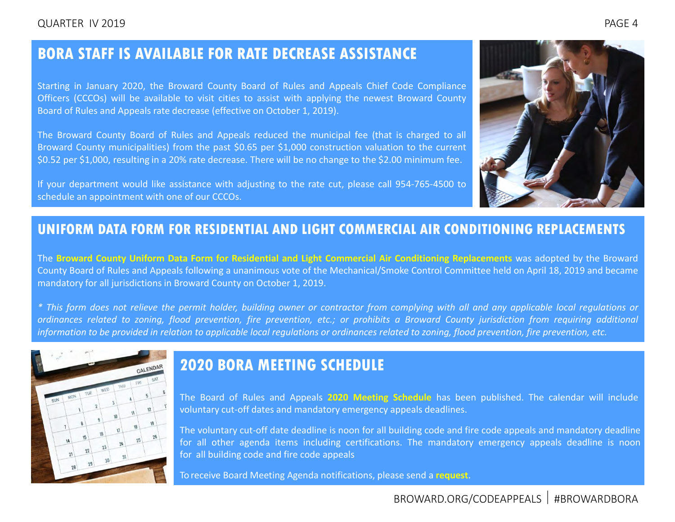#### <span id="page-3-0"></span>**BORA STAFF IS AVAILABLE FOR RATE DECREASE ASSISTANCE**

Starting in January 2020, the Broward County Board of Rules and Appeals Chief Code Compliance Officers (CCCOs) will be available to visit cities to assist with applying the newest Broward County Board of Rules and Appeals rate decrease (effective on October 1, 2019).

The Broward County Board of Rules and Appeals reduced the municipal fee (that is charged to all Broward County municipalities) from the past \$0.65 per \$1,000 construction valuation to the current \$0.52 per \$1,000, resulting in a 20% rate decrease. There will be no change to the \$2.00 minimum fee.

If your department would like assistance with adjusting to the rate cut, please call 954-765-4500 to schedule an appointment with one of our CCCOs.



#### **UNIFORM DATA FORM FOR RESIDENTIAL AND LIGHT COMMERCIAL AIR CONDITIONING REPLACEMENTS**

The **Broward County Uniform Data Form for Residential and Light Commercial Air Conditioning [Replacements](https://www.broward.org/CodeAppeals/Documents/19-02-ACReplacements.pdf)** was adopted by the Broward County Board of Rules and Appeals following a unanimous vote of the Mechanical/Smoke Control Committee held on April 18, 2019 and became mandatory for all jurisdictions in Broward County on October 1, 2019.

\* This form does not relieve the permit holder, building owner or contractor from complying with all and any applicable local regulations or ordinances related to zoning, flood prevention, fire prevention, etc.; or prohibits a Broward County jurisdiction from requiring additional information to be provided in relation to applicable local regulations or ordinances related to zoning, flood prevention, fire prevention, etc.



#### **2020 BORA MEETING SCHEDULE**

The Board of Rules and Appeals **2020 Meeting [Schedule](https://www.broward.org/CodeAppeals/Documents/BORA%20Monthly%20Calendar%202020.pdf)** has been published. The calendar will include voluntary cut-off dates and mandatory emergency appeals deadlines.

The voluntary cut-off date deadline is noon for all building code and fire code appeals and mandatory deadline for all other agenda items including certifications. The mandatory emergency appeals deadline is noon for all building code and fire code appeals

To receive Board Meeting Agenda notifications, please send a **[request](mailto:rulesboard@broward.org)**.

BROWARD.ORG/CODEAPPEALS #BROWARDBORA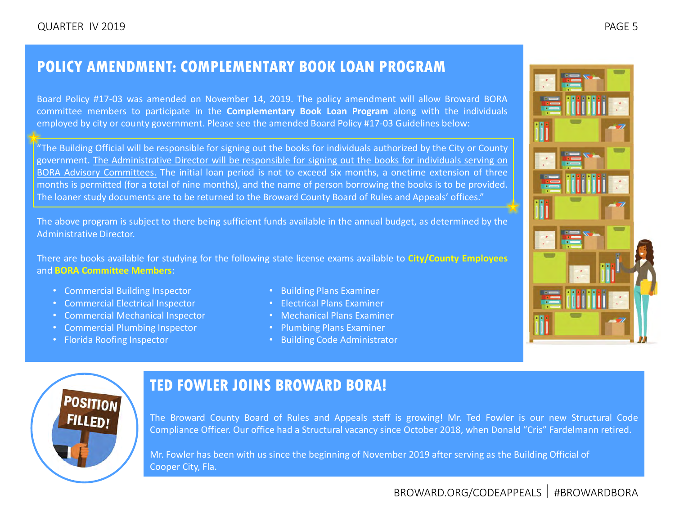## <span id="page-4-0"></span>**POLICY AMENDMENT: COMPLEMENTARY BOOK LOAN PROGRAM**

Board Policy #17-03 was amended on November 14, 2019. The policy amendment will allow Broward BORA committee members to participate in the **Complementary Book Loan Program** along with the individuals employed by city or county government. Please see the amended Board Policy #17-03 Guidelines below:

"The Building Official will be responsible for signing out the books for individuals authorized by the City or County government. The Administrative Director will be responsible for signing out the books for individuals serving on BORA Advisory Committees. The initial loan period is not to exceed six months, a onetime extension of three months is permitted (for a total of nine months), and the name of person borrowing the books is to be provided. The loaner study documents are to be returned to the Broward County Board of Rules and Appeals' offices."

The above program is subject to there being sufficient funds available in the annual budget, as determined by the Administrative Director.

There are books available for studying for the following state license exams available to **[City/County](https://www.broward.org/CodeAppeals/Documents/City-County%202019-2020%20Book%20Loan%20Form.pdf) Employees** and **BORA [Committee](https://www.broward.org/CodeAppeals/Documents/Committee%202019-2020%20Book%20Loan%20Form.pdf) Members**:

- Commercial Building Inspector
- Commercial Electrical Inspector
- Commercial Mechanical Inspector
- Commercial Plumbing Inspector
- Florida Roofing Inspector
- Building Plans Examiner
- Electrical Plans Examiner
- Mechanical Plans Examiner
- Plumbing Plans Examiner
- Building Code Administrator



#### **TED FOWLER JOINS BROWARD BORA!**

The Broward County Board of Rules and Appeals staff is growing! Mr. Ted Fowler is our new Structural Code Compliance Officer. Our office had a Structural vacancy since October 2018, when Donald "Cris" Fardelmann retired.

Mr. Fowler has been with us since the beginning of November 2019 after serving as the Building Official of Cooper City, Fla.

BROWARD.ORG/CODEAPPEALS | #BROWARDBORA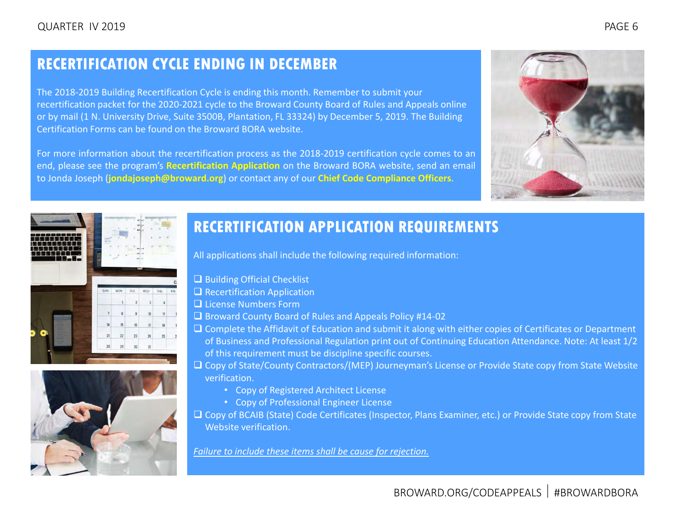# <span id="page-5-0"></span>**RECERTIFICATION CYCLE ENDING IN DECEMBER**

The 2018-2019 Building Recertification Cycle is ending this month. Remember to submit your recertification packet for the 2020-2021 cycle to the Broward County Board of Rules and Appeals online or by mail (1 N. University Drive, Suite 3500B, Plantation, FL 33324) by December 5, 2019. The Building Certification Forms can be found on the Broward BORA website.

For more information about the recertification process as the 2018-2019 certification cycle comes to an end, please see the program's **[Recertification Application](https://www.broward.org/CodeAppeals/Documents/2020_21%20Recertification%20Application%20Fillable%20Pro%20NEW%20LOGO.pdf)** on the Broward BORA website, send an email to Jonda Joseph (**[jondajoseph@broward.org](mailto:jondajoseph@broward.org)**) or contact any of our **[Chief Code Compliance Officers](http://www.broward.org/CodeAppeals/Pages/staffContacts.aspx)**.







# **RECERTIFICATION APPLICATION REQUIREMENTS**

All applications shall include the following required information:

- ❑ Building Official Checklist
- ❑ Recertification Application
- ❑ License Numbers Form
- ❑ Broward County Board of Rules and Appeals Policy #14-02
- ❑ Complete the Affidavit of Education and submit it along with either copies of Certificates or Department of Business and Professional Regulation print out of Continuing Education Attendance. Note: At least 1/2 of this requirement must be discipline specific courses.
- ❑ Copy of State/County Contractors/(MEP) Journeyman's License or Provide State copy from State Website verification.
	- Copy of Registered Architect License
	- Copy of Professional Engineer License
- ❑ Copy of BCAIB (State) Code Certificates (Inspector, Plans Examiner, etc.) or Provide State copy from State Website verification.

*Failure to include these items shall be cause for rejection.*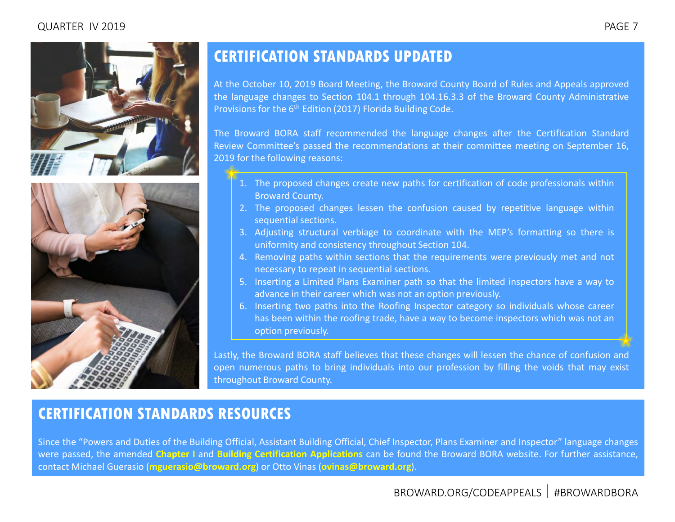#### <span id="page-6-0"></span>QUARTER IV 2019 PAGE 7





# **CERTIFICATION STANDARDS UPDATED**

At the October 10, 2019 Board Meeting, the Broward County Board of Rules and Appeals approved the language changes to Section 104.1 through 104.16.3.3 of the Broward County Administrative Provisions for the 6<sup>th</sup> Edition (2017) Florida Building Code.

The Broward BORA staff recommended the language changes after the Certification Standard Review Committee's passed the recommendations at their committee meeting on September 16, 2019 for the following reasons:

- 1. The proposed changes create new paths for certification of code professionals within Broward County.
- 2. The proposed changes lessen the confusion caused by repetitive language within sequential sections.
- 3. Adjusting structural verbiage to coordinate with the MEP's formatting so there is uniformity and consistency throughout Section 104.
- 4. Removing paths within sections that the requirements were previously met and not necessary to repeat in sequential sections.
- 5. Inserting a Limited Plans Examiner path so that the limited inspectors have a way to advance in their career which was not an option previously.
- 6. Inserting two paths into the Roofing Inspector category so individuals whose career has been within the roofing trade, have a way to become inspectors which was not an option previously.

Lastly, the Broward BORA staff believes that these changes will lessen the chance of confusion and open numerous paths to bring individuals into our profession by filling the voids that may exist throughout Broward County.

#### **CERTIFICATION STANDARDS RESOURCES**

Since the "Powers and Duties of the Building Official, Assistant Building Official, Chief Inspector, Plans Examiner and Inspector" language changes were passed, the amended **[Chapter](https://www.broward.org/CodeAppeals/Pages/AmendmentsInterpretations.aspx) I** and **Building Certification [Applications](https://www.broward.org/CodeAppeals/Pages/inspectorQualification.aspx)** can be found the Broward BORA website. For further assistance, contact Michael Guerasio (**[mguerasio@broward.org](mailto:mguerasio@broward.org)**) or Otto Vinas (**[ovinas@broward.org](mailto:ovinas@broward.org)**).